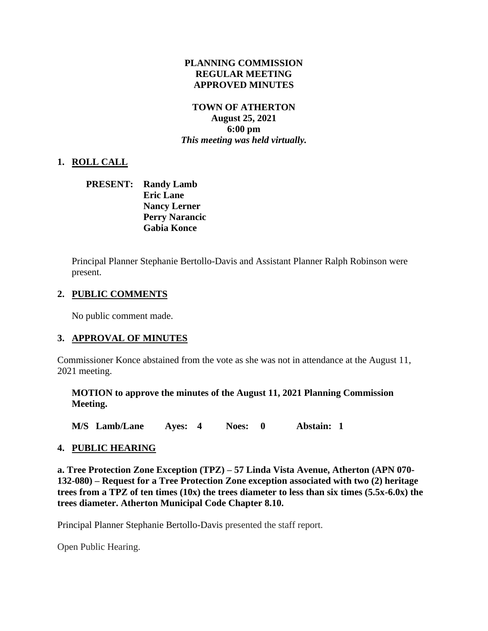## **PLANNING COMMISSION REGULAR MEETING APPROVED MINUTES**

## **TOWN OF ATHERTON August 25, 2021 6:00 pm** *This meeting was held virtually.*

# **1. ROLL CALL**

**PRESENT: Randy Lamb Eric Lane Nancy Lerner Perry Narancic Gabia Konce**

Principal Planner Stephanie Bertollo-Davis and Assistant Planner Ralph Robinson were present.

#### **2. PUBLIC COMMENTS**

No public comment made.

#### **3. APPROVAL OF MINUTES**

Commissioner Konce abstained from the vote as she was not in attendance at the August 11, 2021 meeting.

**MOTION to approve the minutes of the August 11, 2021 Planning Commission Meeting.**

**M/S Lamb/Lane Ayes: 4 Noes: 0 Abstain: 1**

#### **4. PUBLIC HEARING**

**a. Tree Protection Zone Exception (TPZ) – [57 Linda Vista Avenue, Atherton \(APN 070-](https://www.ci.atherton.ca.us/DocumentCenter/View/9240/57-Linda-Vista-Final-Packet-Materials) [132-080\)](https://www.ci.atherton.ca.us/DocumentCenter/View/9240/57-Linda-Vista-Final-Packet-Materials) – Request for a Tree Protection Zone exception associated with two (2) heritage trees from a TPZ of ten times (10x) the trees diameter to less than six times (5.5x-6.0x) the trees diameter. Atherton Municipal Code Chapter 8.10.**

Principal Planner Stephanie Bertollo-Davis presented the staff report.

Open Public Hearing.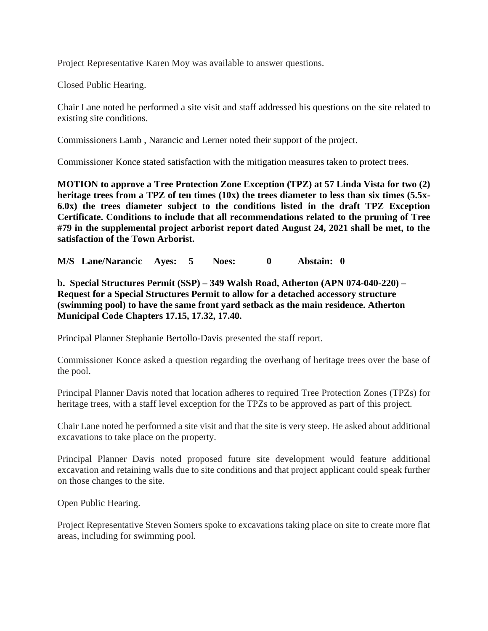Project Representative Karen Moy was available to answer questions.

Closed Public Hearing.

Chair Lane noted he performed a site visit and staff addressed his questions on the site related to existing site conditions.

Commissioners Lamb , Narancic and Lerner noted their support of the project.

Commissioner Konce stated satisfaction with the mitigation measures taken to protect trees.

**MOTION to approve a Tree Protection Zone Exception (TPZ) at 57 Linda Vista for two (2) heritage trees from a TPZ of ten times (10x) the trees diameter to less than six times (5.5x-6.0x) the trees diameter subject to the conditions listed in the draft TPZ Exception Certificate. Conditions to include that all recommendations related to the pruning of Tree #79 in the supplemental project arborist report dated August 24, 2021 shall be met, to the satisfaction of the Town Arborist.**

**M/S Lane/Narancic Ayes: 5 Noes: 0 Abstain: 0**

**b. [Special Structures Permit \(SSP\) –](https://www.ci.atherton.ca.us/DocumentCenter/View/9241/349-Walsh-Final-Packet-Materials) 349 Walsh Road, Atherton (APN 074-040-220) – Request for a Special Structures Permit to allow for a detached accessory structure (swimming pool) to have the same front yard setback as the main residence. Atherton Municipal Code Chapters 17.15, 17.32, 17.40.**

Principal Planner Stephanie Bertollo-Davis presented the staff report.

Commissioner Konce asked a question regarding the overhang of heritage trees over the base of the pool.

Principal Planner Davis noted that location adheres to required Tree Protection Zones (TPZs) for heritage trees, with a staff level exception for the TPZs to be approved as part of this project.

Chair Lane noted he performed a site visit and that the site is very steep. He asked about additional excavations to take place on the property.

Principal Planner Davis noted proposed future site development would feature additional excavation and retaining walls due to site conditions and that project applicant could speak further on those changes to the site.

Open Public Hearing.

Project Representative Steven Somers spoke to excavations taking place on site to create more flat areas, including for swimming pool.